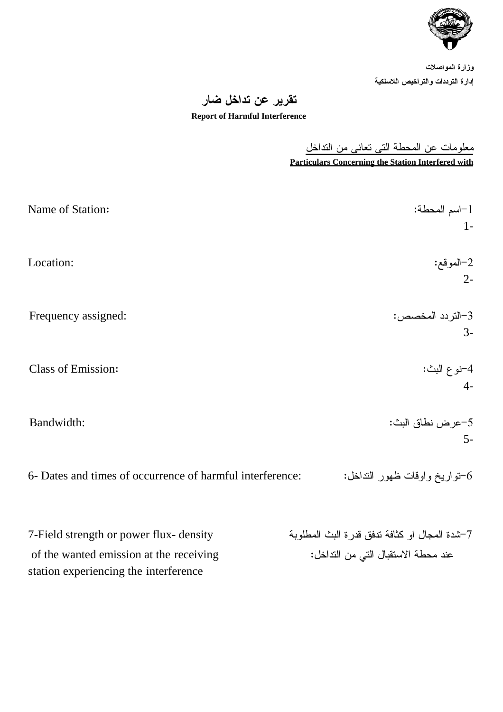

وزارة المواصلات إدارة الترددات والتراخيص اللاسلكية

## تقرير عن تداخل ضار

## **Report of Harmful Interference**

معلومات عن المحطة التي تعاني من التداخل **Particulars Concerning the Station Interfered with**

Name of Station: :المحطة اسم-1 1- -2الموقع: :Location 2- -3التردد المخصص: :assigned Frequency 3- Class of Emission: :البث نوع-4 4- -5عرض نطاق البث: :Bandwidth 5- 6- Dates and times of occurrence of harmful interference: - تواريخ واوقات ظهور النداخل - 6 -7شدة المجال او كثافة تدفق قدرة البث المطلوبة density -flux power or strength Field7 of the wanted emission at the receiving :الاستقبال التي من التداخل  $\cdot$ station experiencing the interference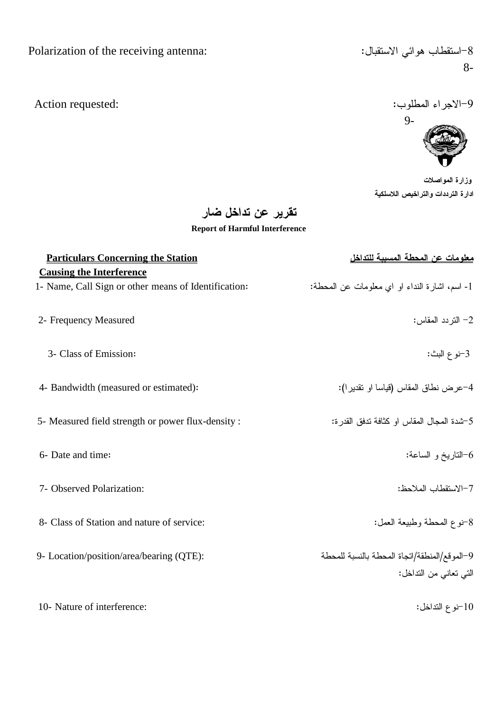8-

-9الاجراء المطلوب: : ^ction requested: أو الأجراء المطلوب: ^ction requested:



وزارة المواصلات ادارة الترددات والتراخيص اللاسلكية

تقرير عن تداخل ضار

**Report of Harmful Interference**

| <b>Particulars Concerning the Station</b>                                               | <u>معلومات عن المحطة المسببة للتداخل</u>                               |
|-----------------------------------------------------------------------------------------|------------------------------------------------------------------------|
| <b>Causing the Interference</b><br>1- Name, Call Sign or other means of Identification: | 1- اسم، اشارة النداء او اي معلومات عن المحطة:                          |
| 2- Frequency Measured                                                                   | 2– التر دد المقاس:                                                     |
| 3- Class of Emission:                                                                   | 3-نوع البث:                                                            |
| 4- Bandwidth (measured or estimated):                                                   | 4–عرض نطاق المقاس (قياسا او نقدير ا):                                  |
| 5- Measured field strength or power flux-density :                                      | 5–شدة المجال المقاس او كثافة تدفق القدر ة:                             |
| 6- Date and time:                                                                       | 6–الناريخ و الساعة:                                                    |
| 7- Observed Polarization:                                                               | 7–الاستقطاب الملاحظ:                                                   |
| 8- Class of Station and nature of service:                                              | 8-نوع المحطة وطبيعة العمل:                                             |
| 9- Location/position/area/bearing (QTE):                                                | 9–الموقع/المنطقة/اتجاة المحطة بالنسبة للمحطة<br>التي تعاني من التداخل: |
| 10- Nature of interference:                                                             | 10-نوع التداخل:                                                        |